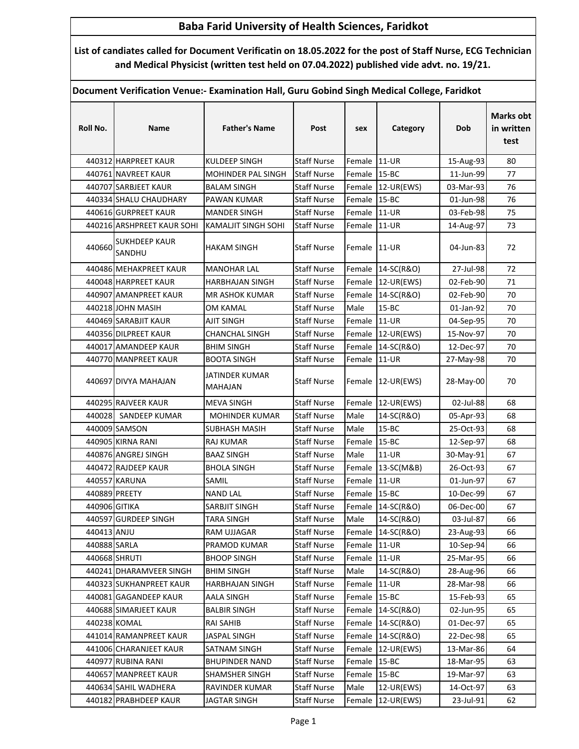## Baba Farid University of Health Sciences, Faridkot

List of candiates called for Document Verificatin on 18.05.2022 for the post of Staff Nurse, ECG Technician and Medical Physicist (written test held on 07.04.2022) published vide advt. no. 19/21.

Document Verification Venue:- Examination Hall, Guru Gobind Singh Medical College, Faridkot

| Roll No.      | Name                           | <b>Father's Name</b>       | Post               | sex          | Category          | Dob       | <b>Marks obt</b><br>in written<br>test |
|---------------|--------------------------------|----------------------------|--------------------|--------------|-------------------|-----------|----------------------------------------|
|               | 440312 HARPREET KAUR           | <b>KULDEEP SINGH</b>       | <b>Staff Nurse</b> | Female 11-UR |                   | 15-Aug-93 | 80                                     |
|               | 440761 NAVREET KAUR            | MOHINDER PAL SINGH         | <b>Staff Nurse</b> | Female 15-BC |                   | 11-Jun-99 | 77                                     |
|               | 440707 SARBJEET KAUR           | <b>BALAM SINGH</b>         | <b>Staff Nurse</b> |              | Female 12-UR(EWS) | 03-Mar-93 | 76                                     |
|               | 440334 SHALU CHAUDHARY         | PAWAN KUMAR                | <b>Staff Nurse</b> | Female 15-BC |                   | 01-Jun-98 | 76                                     |
|               | 440616 GURPREET KAUR           | <b>MANDER SINGH</b>        | <b>Staff Nurse</b> | Female 11-UR |                   | 03-Feb-98 | 75                                     |
|               | 440216 ARSHPREET KAUR SOHI     | <b>KAMALJIT SINGH SOHI</b> | <b>Staff Nurse</b> | Female 11-UR |                   | 14-Aug-97 | 73                                     |
| 440660        | <b>SUKHDEEP KAUR</b><br>SANDHU | <b>HAKAM SINGH</b>         | <b>Staff Nurse</b> | Female 11-UR |                   | 04-Jun-83 | 72                                     |
|               | 440486 MEHAKPREET KAUR         | <b>MANOHAR LAL</b>         | <b>Staff Nurse</b> |              | Female 14-SC(R&O) | 27-Jul-98 | 72                                     |
|               | 440048 HARPREET KAUR           | <b>HARBHAJAN SINGH</b>     | <b>Staff Nurse</b> |              | Female 12-UR(EWS) | 02-Feb-90 | 71                                     |
|               | 440907 AMANPREET KAUR          | <b>MR ASHOK KUMAR</b>      | <b>Staff Nurse</b> |              | Female 14-SC(R&O) | 02-Feb-90 | 70                                     |
|               | 440218 JOHN MASIH              | OM KAMAL                   | <b>Staff Nurse</b> | Male         | $15 - BC$         | 01-Jan-92 | 70                                     |
|               | 440469 SARABJIT KAUR           | <b>AJIT SINGH</b>          | <b>Staff Nurse</b> | Female 11-UR |                   | 04-Sep-95 | 70                                     |
|               | 440356 DILPREET KAUR           | CHANCHAL SINGH             | <b>Staff Nurse</b> |              | Female 12-UR(EWS) | 15-Nov-97 | 70                                     |
|               | 440017 AMANDEEP KAUR           | <b>BHIM SINGH</b>          | <b>Staff Nurse</b> |              | Female 14-SC(R&O) | 12-Dec-97 | 70                                     |
|               | 440770 MANPREET KAUR           | <b>BOOTA SINGH</b>         | <b>Staff Nurse</b> | Female       | 11-UR             | 27-May-98 | 70                                     |
|               | 440697 DIVYA MAHAJAN           | JATINDER KUMAR<br>MAHAJAN  | <b>Staff Nurse</b> |              | Female 12-UR(EWS) | 28-May-00 | 70                                     |
|               | 440295 RAJVEER KAUR            | <b>MEVA SINGH</b>          | <b>Staff Nurse</b> |              | Female 12-UR(EWS) | 02-Jul-88 | 68                                     |
|               | 440028 SANDEEP KUMAR           | <b>MOHINDER KUMAR</b>      | <b>Staff Nurse</b> | Male         | 14-SC(R&O)        | 05-Apr-93 | 68                                     |
|               | 440009 SAMSON                  | <b>SUBHASH MASIH</b>       | <b>Staff Nurse</b> | Male         | $15 - BC$         | 25-Oct-93 | 68                                     |
|               | 440905 KIRNA RANI              | RAJ KUMAR                  | <b>Staff Nurse</b> | Female       | $15 - BC$         | 12-Sep-97 | 68                                     |
|               | 440876 ANGREJ SINGH            | <b>BAAZ SINGH</b>          | <b>Staff Nurse</b> | Male         | 11-UR             | 30-May-91 | 67                                     |
|               | 440472 RAJDEEP KAUR            | <b>BHOLA SINGH</b>         | <b>Staff Nurse</b> |              | Female 13-SC(M&B) | 26-Oct-93 | 67                                     |
|               | 440557 KARUNA                  | SAMIL                      | <b>Staff Nurse</b> | Female 11-UR |                   | 01-Jun-97 | 67                                     |
| 440889 PREETY |                                | <b>NAND LAL</b>            | <b>Staff Nurse</b> | Female 15-BC |                   | 10-Dec-99 | 67                                     |
| 440906 GITIKA |                                | SARBJIT SINGH              | <b>Staff Nurse</b> |              | Female 14-SC(R&O) | 06-Dec-00 | 67                                     |
|               | 440597 GURDEEP SINGH           | <b>TARA SINGH</b>          | <b>Staff Nurse</b> | Male         | 14-SC(R&O)        | 03-Jul-87 | 66                                     |
| 440413 ANJU   |                                | RAM UJJAGAR                | <b>Staff Nurse</b> |              | Female 14-SC(R&O) | 23-Aug-93 | 66                                     |
| 440888 SARLA  |                                | PRAMOD KUMAR               | <b>Staff Nurse</b> | Female 11-UR |                   | 10-Sep-94 | 66                                     |
| 440668 SHRUTI |                                | <b>BHOOP SINGH</b>         | <b>Staff Nurse</b> | Female 11-UR |                   | 25-Mar-95 | 66                                     |
|               | 440241 DHARAMVEER SINGH        | <b>BHIM SINGH</b>          | <b>Staff Nurse</b> | Male         | 14-SC(R&O)        | 28-Aug-96 | 66                                     |
|               | 440323 SUKHANPREET KAUR        | HARBHAJAN SINGH            | <b>Staff Nurse</b> | Female 11-UR |                   | 28-Mar-98 | 66                                     |
|               | 440081 GAGANDEEP KAUR          | AALA SINGH                 | <b>Staff Nurse</b> | Female 15-BC |                   | 15-Feb-93 | 65                                     |
|               | 440688 SIMARJEET KAUR          | <b>BALBIR SINGH</b>        | <b>Staff Nurse</b> |              | Female 14-SC(R&O) | 02-Jun-95 | 65                                     |
|               | 440238 KOMAL                   | RAI SAHIB                  | <b>Staff Nurse</b> |              | Female 14-SC(R&O) | 01-Dec-97 | 65                                     |
|               | 441014 RAMANPREET KAUR         | <b>JASPAL SINGH</b>        | <b>Staff Nurse</b> |              | Female 14-SC(R&O) | 22-Dec-98 | 65                                     |
|               | 441006 CHARANJEET KAUR         | SATNAM SINGH               | <b>Staff Nurse</b> |              | Female 12-UR(EWS) | 13-Mar-86 | 64                                     |
|               | 440977 RUBINA RANI             | <b>BHUPINDER NAND</b>      | <b>Staff Nurse</b> | Female 15-BC |                   | 18-Mar-95 | 63                                     |
|               | 440657 MANPREET KAUR           | SHAMSHER SINGH             | <b>Staff Nurse</b> | Female 15-BC |                   | 19-Mar-97 | 63                                     |
|               | 440634 SAHIL WADHERA           | RAVINDER KUMAR             | <b>Staff Nurse</b> | Male         | 12-UR(EWS)        | 14-Oct-97 | 63                                     |
|               | 440182 PRABHDEEP KAUR          | <b>JAGTAR SINGH</b>        | <b>Staff Nurse</b> |              | Female 12-UR(EWS) | 23-Jul-91 | 62                                     |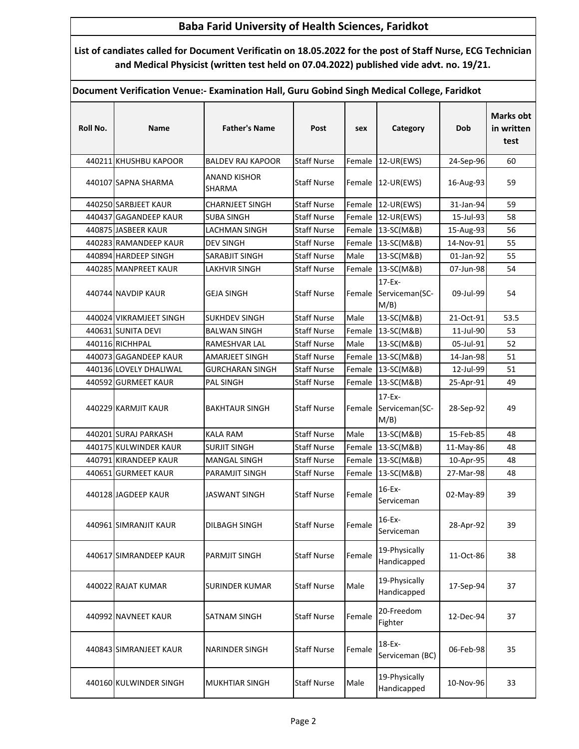## Baba Farid University of Health Sciences, Faridkot

List of candiates called for Document Verificatin on 18.05.2022 for the post of Staff Nurse, ECG Technician and Medical Physicist (written test held on 07.04.2022) published vide advt. no. 19/21.

Document Verification Venue:- Examination Hall, Guru Gobind Singh Medical College, Faridkot

| Roll No. | Name                    | <b>Father's Name</b>     | Post               | sex    | Category                                     | Dob       | <b>Marks obt</b><br>in written<br>test |
|----------|-------------------------|--------------------------|--------------------|--------|----------------------------------------------|-----------|----------------------------------------|
|          | 440211 KHUSHBU KAPOOR   | <b>BALDEV RAJ KAPOOR</b> | <b>Staff Nurse</b> |        | Female 12-UR(EWS)                            | 24-Sep-96 | 60                                     |
|          | 440107 SAPNA SHARMA     | ANAND KISHOR<br>SHARMA   | <b>Staff Nurse</b> |        | Female 12-UR(EWS)                            | 16-Aug-93 | 59                                     |
|          | 440250 SARBJEET KAUR    | <b>CHARNJEET SINGH</b>   | <b>Staff Nurse</b> |        | Female 12-UR(EWS)                            | 31-Jan-94 | 59                                     |
|          | 440437 GAGANDEEP KAUR   | <b>SUBA SINGH</b>        | <b>Staff Nurse</b> |        | Female 12-UR(EWS)                            | 15-Jul-93 | 58                                     |
|          | 440875 JASBEER KAUR     | <b>LACHMAN SINGH</b>     | <b>Staff Nurse</b> | Female | 13-SC(M&B)                                   | 15-Aug-93 | 56                                     |
|          | 440283 RAMANDEEP KAUR   | <b>DEV SINGH</b>         | <b>Staff Nurse</b> |        | Female 13-SC(M&B)                            | 14-Nov-91 | 55                                     |
|          | 440894 HARDEEP SINGH    | SARABJIT SINGH           | <b>Staff Nurse</b> | Male   | 13-SC(M&B)                                   | 01-Jan-92 | 55                                     |
|          | 440285 MANPREET KAUR    | <b>LAKHVIR SINGH</b>     | <b>Staff Nurse</b> |        | Female 13-SC(M&B)                            | 07-Jun-98 | 54                                     |
|          | 440744 NAVDIP KAUR      | <b>GEJA SINGH</b>        | <b>Staff Nurse</b> |        | $17-Fx-$<br>Female Serviceman(SC-<br>$M/B$ ) | 09-Jul-99 | 54                                     |
|          | 440024 VIKRAMJEET SINGH | <b>SUKHDEV SINGH</b>     | <b>Staff Nurse</b> | Male   | 13-SC(M&B)                                   | 21-Oct-91 | 53.5                                   |
|          | 440631 SUNITA DEVI      | <b>BALWAN SINGH</b>      | <b>Staff Nurse</b> |        | Female 13-SC(M&B)                            | 11-Jul-90 | 53                                     |
|          | 440116 RICHHPAL         | RAMESHVAR LAL            | <b>Staff Nurse</b> | Male   | 13-SC(M&B)                                   | 05-Jul-91 | 52                                     |
|          | 440073 GAGANDEEP KAUR   | <b>AMARJEET SINGH</b>    | <b>Staff Nurse</b> | Female | 13-SC(M&B)                                   | 14-Jan-98 | 51                                     |
|          | 440136 LOVELY DHALIWAL  | <b>GURCHARAN SINGH</b>   | <b>Staff Nurse</b> | Female | 13-SC(M&B)                                   | 12-Jul-99 | 51                                     |
|          | 440592 GURMEET KAUR     | PAL SINGH                | <b>Staff Nurse</b> |        | Female 13-SC(M&B)                            | 25-Apr-91 | 49                                     |
|          | 440229 KARMJIT KAUR     | <b>BAKHTAUR SINGH</b>    | <b>Staff Nurse</b> |        | $17-Ex-$<br>Female Serviceman(SC-<br>M/B)    | 28-Sep-92 | 49                                     |
|          | 440201 SURAJ PARKASH    | <b>KALA RAM</b>          | <b>Staff Nurse</b> | Male   | 13-SC(M&B)                                   | 15-Feb-85 | 48                                     |
|          | 440175 KULWINDER KAUR   | <b>SURJIT SINGH</b>      | <b>Staff Nurse</b> |        | Female 13-SC(M&B)                            | 11-May-86 | 48                                     |
|          | 440791 KIRANDEEP KAUR   | MANGAL SINGH             | <b>Staff Nurse</b> | Female | 13-SC(M&B)                                   | 10-Apr-95 | 48                                     |
|          | 440651 GURMEET KAUR     | PARAMJIT SINGH           | <b>Staff Nurse</b> | Female | 13-SC(M&B)                                   | 27-Mar-98 | 48                                     |
|          | 440128 JAGDEEP KAUR     | <b>JASWANT SINGH</b>     | <b>Staff Nurse</b> | Female | 16-Ex-<br>Serviceman                         | 02-May-89 | 39                                     |
|          | 440961 SIMRANJIT KAUR   | DILBAGH SINGH            | <b>Staff Nurse</b> | Female | 16-Ex-<br>Serviceman                         | 28-Apr-92 | 39                                     |
|          | 440617 SIMRANDEEP KAUR  | PARMJIT SINGH            | <b>Staff Nurse</b> | Female | 19-Physically<br>Handicapped                 | 11-Oct-86 | 38                                     |
|          | 440022 RAJAT KUMAR      | <b>SURINDER KUMAR</b>    | <b>Staff Nurse</b> | Male   | 19-Physically<br>Handicapped                 | 17-Sep-94 | 37                                     |
|          | 440992 NAVNEET KAUR     | SATNAM SINGH             | <b>Staff Nurse</b> | Female | 20-Freedom<br>Fighter                        | 12-Dec-94 | 37                                     |
|          | 440843 SIMRANJEET KAUR  | <b>NARINDER SINGH</b>    | <b>Staff Nurse</b> | Female | 18-Ex-<br>Serviceman (BC)                    | 06-Feb-98 | 35                                     |
|          | 440160 KULWINDER SINGH  | <b>MUKHTIAR SINGH</b>    | <b>Staff Nurse</b> | Male   | 19-Physically<br>Handicapped                 | 10-Nov-96 | 33                                     |